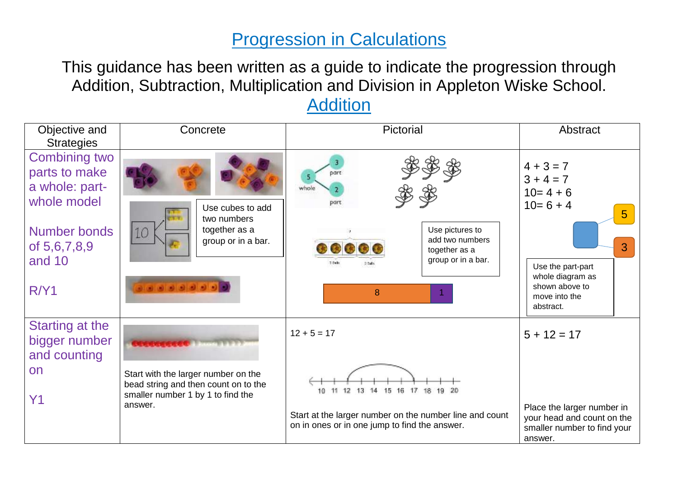### Progression in Calculations

This guidance has been written as a guide to indicate the progression through Addition, Subtraction, Multiplication and Division in Appleton Wiske School. **Addition** 

| Objective and<br><b>Strategies</b>                                                                                              | Concrete                                                                                                         | Pictorial                                                                                                                                                  | Abstract                                                                                                                                                           |
|---------------------------------------------------------------------------------------------------------------------------------|------------------------------------------------------------------------------------------------------------------|------------------------------------------------------------------------------------------------------------------------------------------------------------|--------------------------------------------------------------------------------------------------------------------------------------------------------------------|
| <b>Combining two</b><br>parts to make<br>a whole: part-<br>whole model<br><b>Number bonds</b><br>of 5,6,7,8,9<br>and 10<br>R/Y1 | Use cubes to add<br>two numbers<br>together as a<br>10<br>group or in a bar.<br>.                                | whole<br>part<br>Use pictures to<br>add two numbers<br><b>CO CO</b><br>together as a<br>group or in a bar.<br>$7.0$ s ks<br>$2.3$ alla<br>$\boldsymbol{8}$ | $4 + 3 = 7$<br>$3 + 4 = 7$<br>$10=4+6$<br>$10=6+4$<br>5 <sup>5</sup><br>3<br>Use the part-part<br>whole diagram as<br>shown above to<br>move into the<br>abstract. |
| Starting at the<br>bigger number<br>and counting                                                                                |                                                                                                                  | $12 + 5 = 17$                                                                                                                                              | $5 + 12 = 17$                                                                                                                                                      |
| on<br>Y1                                                                                                                        | Start with the larger number on the<br>bead string and then count on to the<br>smaller number 1 by 1 to find the | 10 11 12 13 14 15 16 17 18 19 20                                                                                                                           |                                                                                                                                                                    |
|                                                                                                                                 | answer.                                                                                                          | Start at the larger number on the number line and count<br>on in ones or in one jump to find the answer.                                                   | Place the larger number in<br>your head and count on the<br>smaller number to find your<br>answer.                                                                 |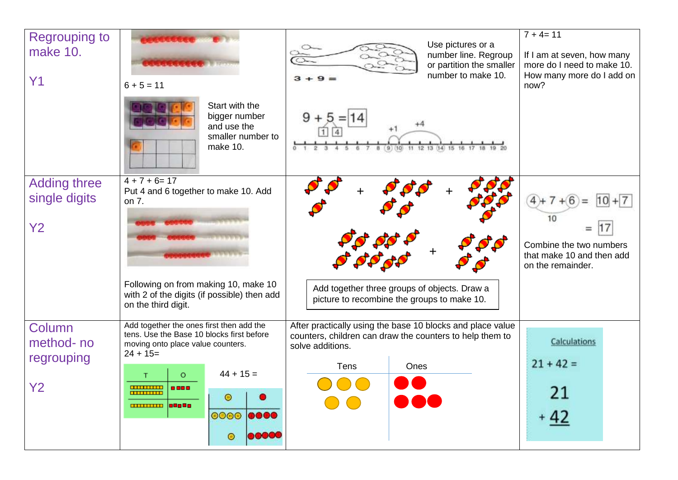| <b>Regrouping to</b><br>make 10.<br>Y1         | $6 + 5 = 11$                                                                                                                                                                                                                                             | Use pictures or a<br>number line. Regroup<br>or partition the smaller<br>number to make 10.                                                                       | $7 + 4 = 11$<br>If I am at seven, how many<br>more do I need to make 10.<br>How many more do I add on<br>now? |
|------------------------------------------------|----------------------------------------------------------------------------------------------------------------------------------------------------------------------------------------------------------------------------------------------------------|-------------------------------------------------------------------------------------------------------------------------------------------------------------------|---------------------------------------------------------------------------------------------------------------|
|                                                | Start with the<br>bigger number<br>and use the<br>smaller number to<br>make 10.                                                                                                                                                                          | 9<br>$\mathbf b$<br>(9)<br>11 12 13<br>(14)<br>(10)                                                                                                               |                                                                                                               |
| <b>Adding three</b><br>single digits<br>Y2     | $4 + 7 + 6 = 17$<br>Put 4 and 6 together to make 10. Add<br>on 7.<br>Following on from making 10, make 10<br>with 2 of the digits (if possible) then add<br>on the third digit.                                                                          | Add together three groups of objects. Draw a<br>picture to recombine the groups to make 10.                                                                       | $4+7+6$<br>Combine the two numbers<br>that make 10 and then add<br>on the remainder.                          |
| Column<br>method-no<br>regrouping<br><b>Y2</b> | Add together the ones first then add the<br>tens. Use the Base 10 blocks first before<br>moving onto place value counters.<br>$24 + 15=$<br>$44 + 15 =$<br>O<br><b>TITLE LITTLE</b><br>$\odot$<br><u>ammun   1909 a</u><br>0000 0000<br>00000<br>$\circ$ | After practically using the base 10 blocks and place value<br>counters, children can draw the counters to help them to<br>solve additions.<br>Tens<br>Ones<br>D O | <b>Calculations</b><br>$21 + 42 =$<br>21<br>$+42$                                                             |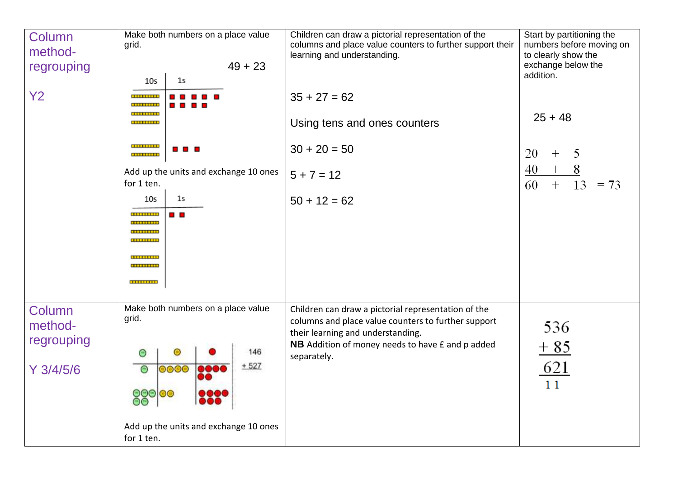| Column<br>method-<br>regrouping                | Make both numbers on a place value<br>grid.<br>$49 + 23$<br>1 <sub>5</sub><br>10 <sub>5</sub>                                                                                                                                                                                | Children can draw a pictorial representation of the<br>columns and place value counters to further support their<br>learning and understanding.                                                                    | Start by partitioning the<br>numbers before moving on<br>to clearly show the<br>exchange below the<br>addition. |
|------------------------------------------------|------------------------------------------------------------------------------------------------------------------------------------------------------------------------------------------------------------------------------------------------------------------------------|--------------------------------------------------------------------------------------------------------------------------------------------------------------------------------------------------------------------|-----------------------------------------------------------------------------------------------------------------|
| <b>Y2</b>                                      | <b></b><br><b>THEFT IS</b><br><br><br><b>.</b><br><b></b><br>Add up the units and exchange 10 ones<br>for 1 ten.<br>1 <sub>5</sub><br>10 <sub>5</sub><br>a a<br><br><b>THEFTHER</b><br><b>TITULITUS</b><br><b>THEFTHE</b><br><b>TELEVITER</b><br><b>TELEVITER</b><br><b></b> | $35 + 27 = 62$<br>Using tens and ones counters<br>$30 + 20 = 50$<br>$5 + 7 = 12$<br>$50 + 12 = 62$                                                                                                                 | $25 + 48$<br>20<br>5<br>$\hspace{0.1mm} +$<br>40<br>8<br>$^{+}$<br>60<br>$+$<br>13<br>$= 73$                    |
| Column<br>method-<br>regrouping<br>$Y$ 3/4/5/6 | Make both numbers on a place value<br>grid.<br>146<br>$\circ$<br>$\circ$<br>$+527$<br>0000<br>$\circ$<br>0000<br>DO<br>88000<br><br>Add up the units and exchange 10 ones<br>for 1 ten.                                                                                      | Children can draw a pictorial representation of the<br>columns and place value counters to further support<br>their learning and understanding.<br>NB Addition of money needs to have £ and p added<br>separately. | 536<br>$+85$<br><u>621</u><br>11                                                                                |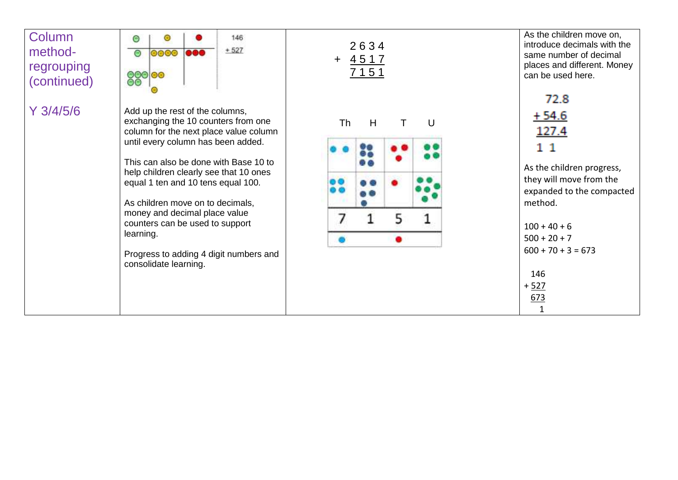### **Column** method regrouping (continued)







As the children move on, introduce decimals with the same number of decimal places and different. Money can be used here.

| 72 X    |
|---------|
| $+54.6$ |
| 127.4   |
| 11      |

As the children progress, they will move from the expanded to the compacted method.

| $100 + 40 + 6$       |  |
|----------------------|--|
| $500 + 20 + 7$       |  |
| $600 + 70 + 3 = 673$ |  |
|                      |  |
| 146                  |  |
| + 527                |  |
| 673                  |  |
| 1                    |  |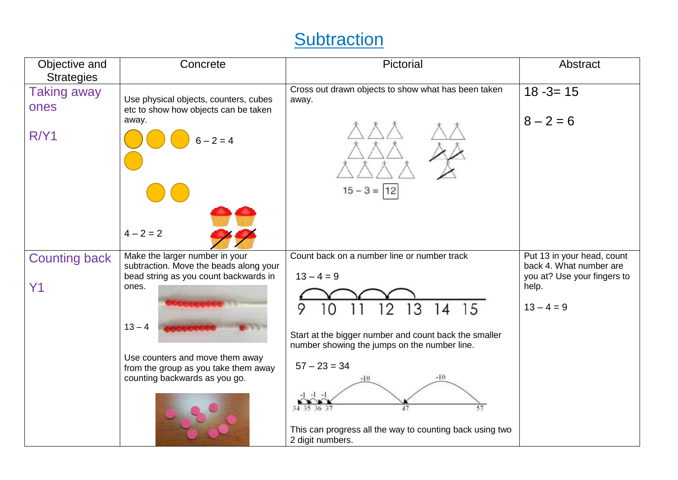# **Subtraction**

| Objective and<br><b>Strategies</b>     | Concrete                                                                                                                                                                                                                                           | Pictorial                                                                                                                                                                                                                                                                                                                                                        | Abstract                                                                                                      |
|----------------------------------------|----------------------------------------------------------------------------------------------------------------------------------------------------------------------------------------------------------------------------------------------------|------------------------------------------------------------------------------------------------------------------------------------------------------------------------------------------------------------------------------------------------------------------------------------------------------------------------------------------------------------------|---------------------------------------------------------------------------------------------------------------|
| <b>Taking away</b><br>ones<br>R/Y1     | Use physical objects, counters, cubes<br>etc to show how objects can be taken<br>away.<br>$6 - 2 = 4$<br>$4 - 2 = 2$                                                                                                                               | Cross out drawn objects to show what has been taken<br>away.<br>$15 - 3 =  12 $                                                                                                                                                                                                                                                                                  | $18 - 3 = 15$<br>$8 - 2 = 6$                                                                                  |
| <b>Counting back</b><br>Y <sub>1</sub> | Make the larger number in your<br>subtraction. Move the beads along your<br>bead string as you count backwards in<br>ones.<br>$13 - 4$<br>Use counters and move them away<br>from the group as you take them away<br>counting backwards as you go. | Count back on a number line or number track<br>$13 - 4 = 9$<br>15<br>3<br>9<br>2<br>14<br>Start at the bigger number and count back the smaller<br>number showing the jumps on the number line.<br>$57 - 23 = 34$<br>$-10$<br>$-10$<br>$-1$ $-1$ $-1$<br>57<br>34 35 36 37<br>47<br>This can progress all the way to counting back using two<br>2 digit numbers. | Put 13 in your head, count<br>back 4. What number are<br>you at? Use your fingers to<br>help.<br>$13 - 4 = 9$ |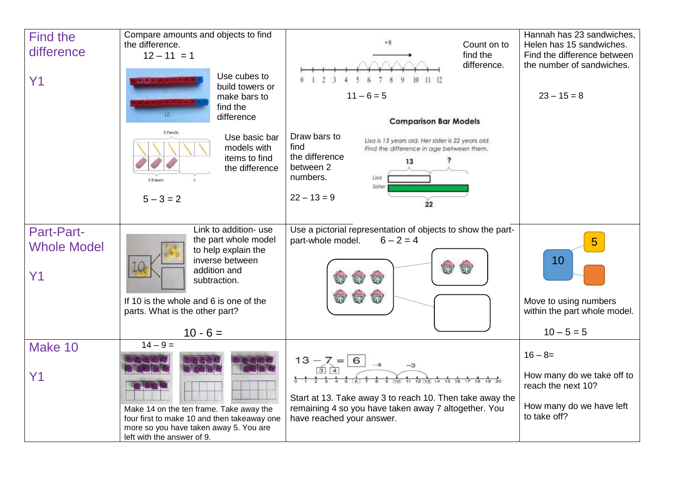| <b>Find the</b>    | Compare amounts and objects to find         |                                                                   | Hannah has 23 sandwiches,                                |
|--------------------|---------------------------------------------|-------------------------------------------------------------------|----------------------------------------------------------|
| difference         | the difference.                             | Count on to                                                       | Helen has 15 sandwiches.                                 |
|                    | $12 - 11 = 1$                               | find the<br>difference.                                           | Find the difference between<br>the number of sandwiches. |
|                    | Use cubes to                                |                                                                   |                                                          |
| Y1                 | build towers or                             |                                                                   |                                                          |
|                    | make bars to                                | $11 - 6 = 5$                                                      | $23 - 15 = 8$                                            |
|                    | find the                                    |                                                                   |                                                          |
|                    | difference                                  | <b>Comparison Bar Models</b>                                      |                                                          |
|                    | 5 Pencils<br>Use basic bar                  | Draw bars to<br>Lisa is 13 years old. Her sister is 22 years old. |                                                          |
|                    | models with                                 | find<br>Find the difference in age between them.                  |                                                          |
|                    | items to find                               | the difference<br>13                                              |                                                          |
|                    | the difference                              | between 2<br>numbers.<br>Lisa                                     |                                                          |
|                    |                                             | Sister                                                            |                                                          |
|                    | $5 - 3 = 2$                                 | $22 - 13 = 9$                                                     |                                                          |
|                    |                                             | 22                                                                |                                                          |
|                    | Link to addition- use                       | Use a pictorial representation of objects to show the part-       |                                                          |
| <b>Part-Part-</b>  | the part whole model                        | part-whole model.<br>$6 - 2 = 4$                                  | 5                                                        |
| <b>Whole Model</b> | to help explain the                         |                                                                   |                                                          |
|                    | inverse between                             |                                                                   | 10                                                       |
| Y1                 | addition and<br>subtraction.                |                                                                   |                                                          |
|                    |                                             |                                                                   |                                                          |
|                    | If 10 is the whole and 6 is one of the      |                                                                   | Move to using numbers                                    |
|                    | parts. What is the other part?              |                                                                   | within the part whole model.                             |
|                    | $10 - 6 =$                                  |                                                                   | $10 - 5 = 5$                                             |
| Make 10            | $14 - 9 =$                                  |                                                                   |                                                          |
|                    |                                             | $13 - 7 = 6$                                                      | $16 - 8 =$                                               |
|                    |                                             |                                                                   |                                                          |
| Y1                 |                                             |                                                                   | How many do we take off to<br>reach the next 10?         |
|                    |                                             | Start at 13. Take away 3 to reach 10. Then take away the          |                                                          |
|                    | Make 14 on the ten frame. Take away the     | remaining 4 so you have taken away 7 altogether. You              | How many do we have left                                 |
|                    | four first to make 10 and then takeaway one | have reached your answer.                                         | to take off?                                             |
|                    | more so you have taken away 5. You are      |                                                                   |                                                          |
|                    | left with the answer of 9.                  |                                                                   |                                                          |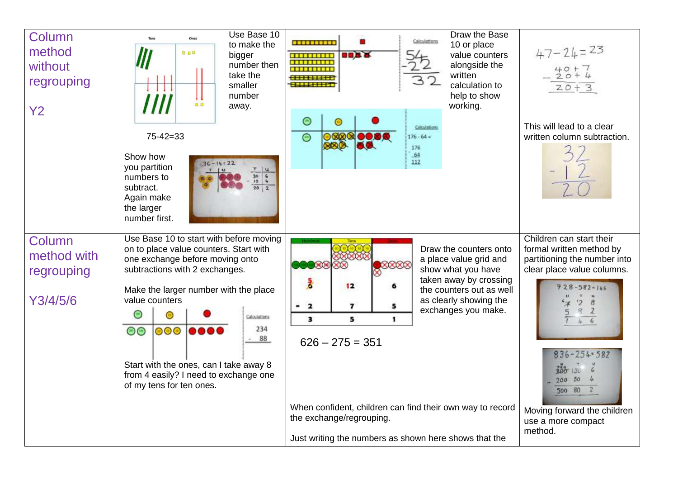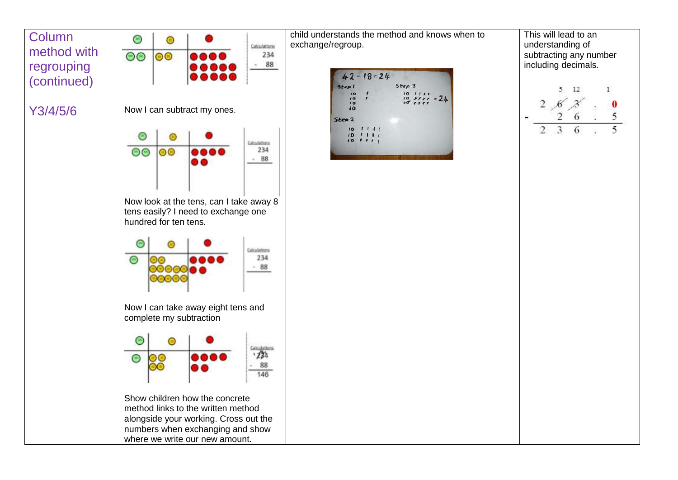**Column** method with regrouping (continued)

 $\bigcirc$  $\odot$ Calculations  $\circ$  $|00|$ 234  $-88$ 

#### Y3/4/5/6 Now I can subtract my ones.



Now look at the tens, can I take away 8 tens easily? I need to exchange one hundred for ten tens.



Now I can take away eight tens and complete my subtraction



Show children how the concrete method links to the written method alongside your working. Cross out the numbers when exchanging and show where we write our new amount.

child understands the method and knows when to exchange/regroup.



This will lead to an understanding of subtracting any number including decimals.

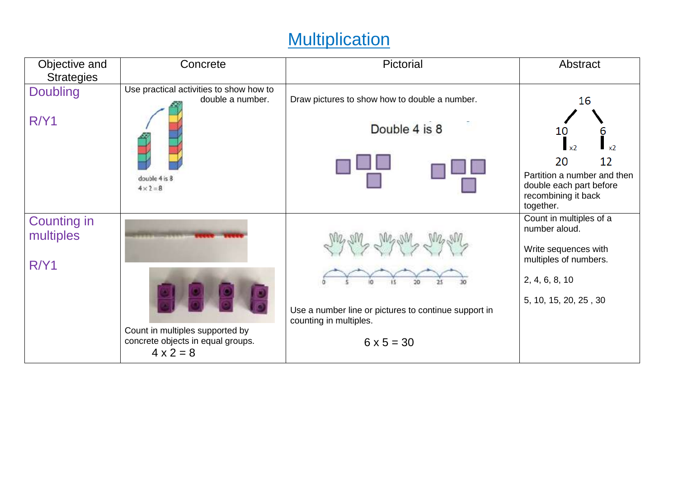# **Multiplication**

| Objective and                   | Concrete                                                                                 | Pictorial                                                                      | Abstract                                                                                   |
|---------------------------------|------------------------------------------------------------------------------------------|--------------------------------------------------------------------------------|--------------------------------------------------------------------------------------------|
| <b>Strategies</b>               |                                                                                          |                                                                                |                                                                                            |
| <b>Doubling</b>                 | Use practical activities to show how to<br>double a number.                              | Draw pictures to show how to double a number.                                  | 16                                                                                         |
| R/Y1                            |                                                                                          | Double 4 is 8                                                                  | 10<br>6<br>$\mathbf{r}$ $\mathbf{x}$<br>12<br>20                                           |
|                                 | double 4 is 8<br>$4 \times 2 = 8$                                                        |                                                                                | Partition a number and then<br>double each part before<br>recombining it back<br>together. |
| <b>Counting in</b><br>multiples |                                                                                          |                                                                                | Count in multiples of a<br>number aloud.                                                   |
| R/Y1                            |                                                                                          |                                                                                | Write sequences with<br>multiples of numbers.                                              |
|                                 |                                                                                          |                                                                                | 2, 4, 6, 8, 10                                                                             |
|                                 |                                                                                          | Use a number line or pictures to continue support in<br>counting in multiples. | 5, 10, 15, 20, 25, 30                                                                      |
|                                 | Count in multiples supported by<br>concrete objects in equal groups.<br>$4 \times 2 = 8$ | $6 \times 5 = 30$                                                              |                                                                                            |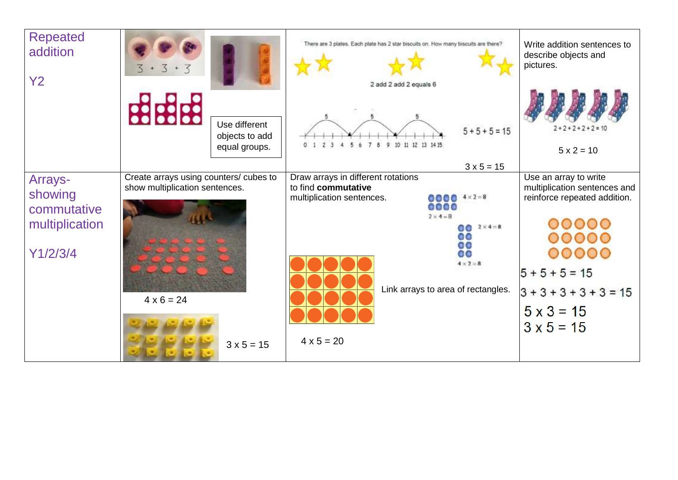| <b>Repeated</b><br>addition<br><b>Y2</b> | $3 + 3 + 3$                            |                                                  | There are 3 plates. Each plate has 2 star biscuits on. How many biscuits are there?<br>2 add 2 add 2 equals 6 |                                       | Write addition sentences to<br>describe objects and<br>pictures. |
|------------------------------------------|----------------------------------------|--------------------------------------------------|---------------------------------------------------------------------------------------------------------------|---------------------------------------|------------------------------------------------------------------|
|                                          | <b>BBBB</b>                            | Use different<br>objects to add<br>equal groups. | 9.<br>0<br>Б<br>8                                                                                             | $5 + 5 + 5 = 15$<br>10 11 12 13 14 15 | $2 + 2 + 2 + 2 + 2 = 10$<br>$5x2 = 10$                           |
|                                          |                                        |                                                  |                                                                                                               | $3 \times 5 = 15$                     |                                                                  |
| Arrays-                                  | Create arrays using counters/ cubes to |                                                  | Draw arrays in different rotations<br>to find commutative                                                     |                                       | Use an array to write                                            |
| showing                                  | show multiplication sentences.         |                                                  | multiplication sentences.                                                                                     | $0000$ $4 \times 2 = 8$               | multiplication sentences and<br>reinforce repeated addition.     |
| commutative                              |                                        |                                                  |                                                                                                               | 0000                                  |                                                                  |
|                                          |                                        |                                                  |                                                                                                               | $2 \times 4 - B$                      |                                                                  |
| multiplication                           |                                        |                                                  |                                                                                                               | $60^{2 \times 4 = 8}$                 | 0000                                                             |
|                                          |                                        |                                                  |                                                                                                               | 60<br>0O                              | 0000                                                             |
| Y1/2/3/4                                 |                                        |                                                  |                                                                                                               | 00                                    |                                                                  |
|                                          |                                        |                                                  |                                                                                                               | $4 \times 2 = 8$                      |                                                                  |
|                                          |                                        |                                                  |                                                                                                               |                                       | $5 + 5 + 5 = 15$                                                 |
|                                          |                                        |                                                  |                                                                                                               | Link arrays to area of rectangles.    | $3 + 3 + 3 + 3 + 3 = 15$                                         |
|                                          | $4 \times 6 = 24$                      |                                                  |                                                                                                               |                                       |                                                                  |
|                                          |                                        |                                                  |                                                                                                               |                                       | $5 \times 3 = 15$                                                |
|                                          |                                        |                                                  |                                                                                                               |                                       | $3 \times 5 = 15$                                                |
|                                          |                                        |                                                  | $4 \times 5 = 20$                                                                                             |                                       |                                                                  |
|                                          |                                        | $3 \times 5 = 15$                                |                                                                                                               |                                       |                                                                  |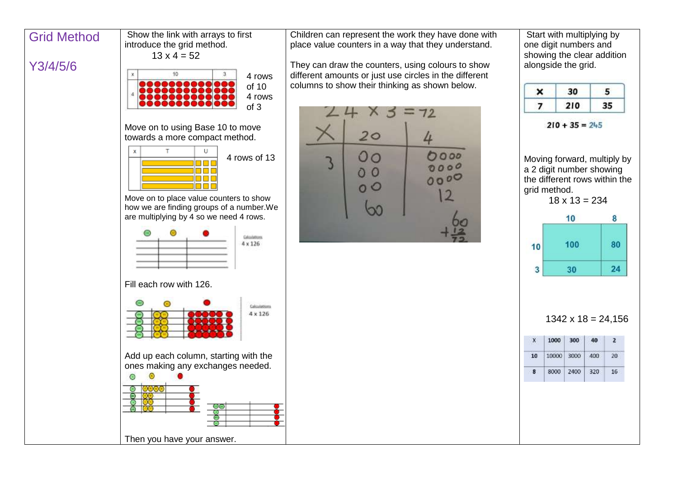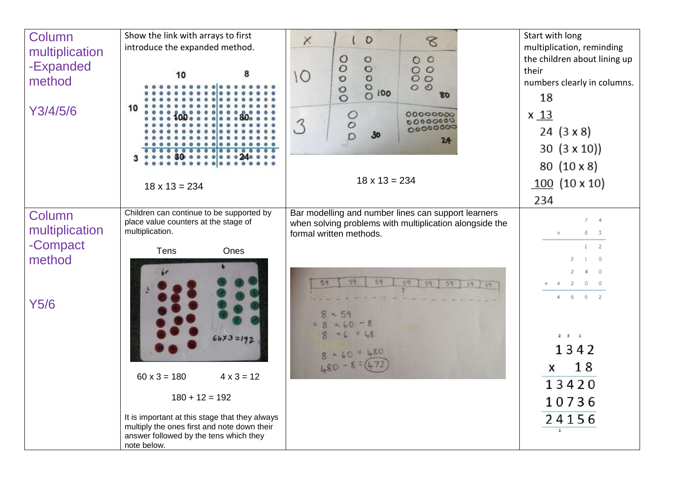| Column<br>multiplication<br>-Expanded<br>method | Show the link with arrays to first<br>introduce the expanded method.<br>8<br>10                                                                                                                                                                        | $\times$<br>$\mathsf{D}$<br>8<br>$\circ$<br>00000<br>$\circ$<br>00000<br>000000<br>$\overline{O}$<br>80                                   | Start with long<br>multiplication, reminding<br>the children about lining up<br>their<br>numbers clearly in columns.<br>18                                      |
|-------------------------------------------------|--------------------------------------------------------------------------------------------------------------------------------------------------------------------------------------------------------------------------------------------------------|-------------------------------------------------------------------------------------------------------------------------------------------|-----------------------------------------------------------------------------------------------------------------------------------------------------------------|
| Y3/4/5/6                                        | 10<br>$18 \times 13 = 234$                                                                                                                                                                                                                             | $\frac{0}{2}$<br>00000000<br>00000000<br>3<br>30 <sub>o</sub><br>24<br>$18 \times 13 = 234$                                               | $x_1$ $13$<br>24 $(3 \times 8)$<br>30 $(3 \times 10)$<br>80 (10 x 8)<br>$100(10 \times 10)$<br>234                                                              |
| Column<br>multiplication                        | Children can continue to be supported by<br>place value counters at the stage of<br>multiplication.                                                                                                                                                    | Bar modelling and number lines can support learners<br>when solving problems with multiplication alongside the<br>formal written methods. | $7 - 4$<br>6 3<br>×                                                                                                                                             |
| -Compact<br>method<br><b>Y5/6</b>               | Tens<br>Ones<br>$64x3 = 192$<br>$60 \times 3 = 180$<br>$4 \times 3 = 12$<br>$180 + 12 = 192$<br>It is important at this stage that they always<br>multiply the ones first and note down their<br>answer followed by the tens which they<br>note below. | 51<br>59<br>$8 - 59$<br>$= 8 \times 60 = 8$<br>$M6 = 48$<br>$\mathcal{R}$<br>$8 - 60 = 480$<br>$480 - 8 = 4$                              | $1 \quad 2$<br>2<br>- 0<br>$\circ$<br>4 2 0 0<br>$4\quad 6\quad 6\quad 2$<br>$2 \quad 3 \qquad 1$<br>1342<br>18<br>X<br>13420<br>10736<br>24156<br>$\mathbf{1}$ |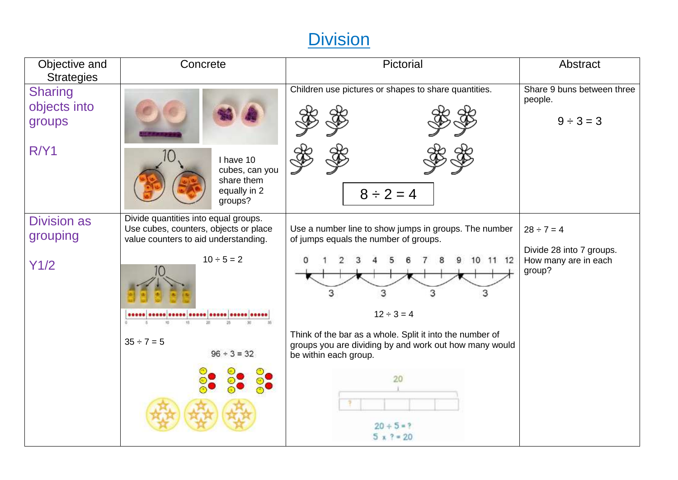## **Division**

| Objective and<br><b>Strategies</b>               | Concrete                                                                                                                                                                        | Pictorial                                                                                                                                                                                                                                                                                                                         | Abstract                                                                      |
|--------------------------------------------------|---------------------------------------------------------------------------------------------------------------------------------------------------------------------------------|-----------------------------------------------------------------------------------------------------------------------------------------------------------------------------------------------------------------------------------------------------------------------------------------------------------------------------------|-------------------------------------------------------------------------------|
| <b>Sharing</b><br>objects into<br>groups<br>R/Y1 | I have 10<br>cubes, can you<br>share them<br>equally in 2<br>groups?                                                                                                            | Children use pictures or shapes to share quantities.<br>$8 \div 2 = 4$                                                                                                                                                                                                                                                            | Share 9 buns between three<br>people.<br>$9 \div 3 = 3$                       |
| <b>Division as</b><br>grouping<br>Y1/2           | Divide quantities into equal groups.<br>Use cubes, counters, objects or place<br>value counters to aid understanding.<br>$10 \div 5 = 2$<br>$35 \div 7 = 5$<br>$96 \div 3 = 32$ | Use a number line to show jumps in groups. The number<br>of jumps equals the number of groups.<br>10 11 12<br>3<br>3<br>3<br>$12 \div 3 = 4$<br>Think of the bar as a whole. Split it into the number of<br>groups you are dividing by and work out how many would<br>be within each group.<br>20<br>$20 + 5 = ?$<br>$5 x ? = 20$ | $28 \div 7 = 4$<br>Divide 28 into 7 groups.<br>How many are in each<br>group? |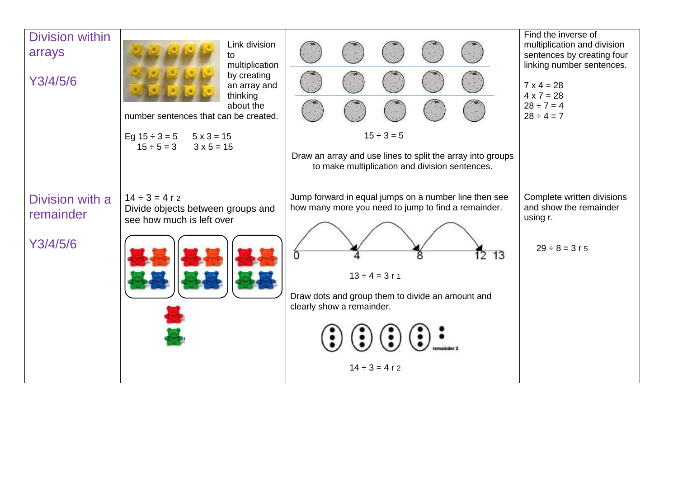| Division within<br>arrays<br>Y3/4/5/6    | Link division<br>to<br>multiplication<br>by creating<br>an array and<br>thinking<br>about the<br>number sentences that can be created.<br>Eg $15 \div 3 = 5$ $5 \times 3 = 15$<br>$15 \div 5 = 3$ $3 \times 5 = 15$ | $15 \div 3 = 5$<br>Draw an array and use lines to split the array into groups<br>to make multiplication and division sentences.                                                                                                                                                   | Find the inverse of<br>multiplication and division<br>sentences by creating four<br>linking number sentences.<br>$7 \times 4 = 28$<br>$4 \times 7 = 28$<br>$28 \div 7 = 4$<br>$28 \div 4 = 7$ |
|------------------------------------------|---------------------------------------------------------------------------------------------------------------------------------------------------------------------------------------------------------------------|-----------------------------------------------------------------------------------------------------------------------------------------------------------------------------------------------------------------------------------------------------------------------------------|-----------------------------------------------------------------------------------------------------------------------------------------------------------------------------------------------|
| Division with a<br>remainder<br>Y3/4/5/6 | $14 \div 3 = 4 r 2$<br>Divide objects between groups and<br>see how much is left over                                                                                                                               | Jump forward in equal jumps on a number line then see<br>how many more you need to jump to find a remainder.<br>13<br>12<br>$13 \div 4 = 3r1$<br>Draw dots and group them to divide an amount and<br>clearly show a remainder.<br>$\left(\bullet\right)$ .<br>$14 \div 3 = 4 r 2$ | Complete written divisions<br>and show the remainder<br>using r.<br>$29 \div 8 = 3 r 5$                                                                                                       |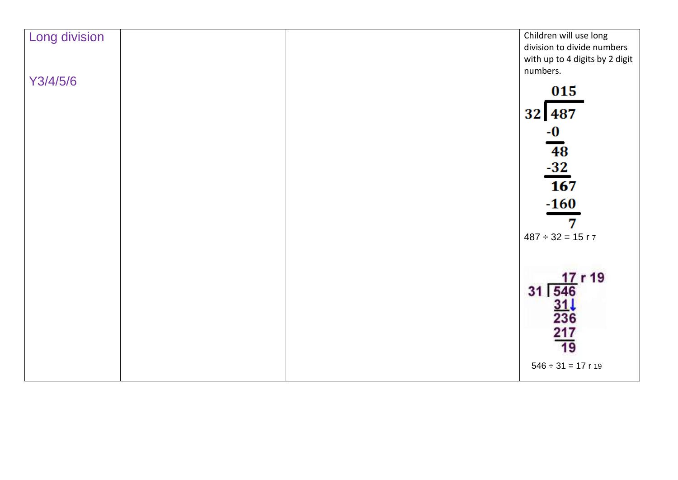